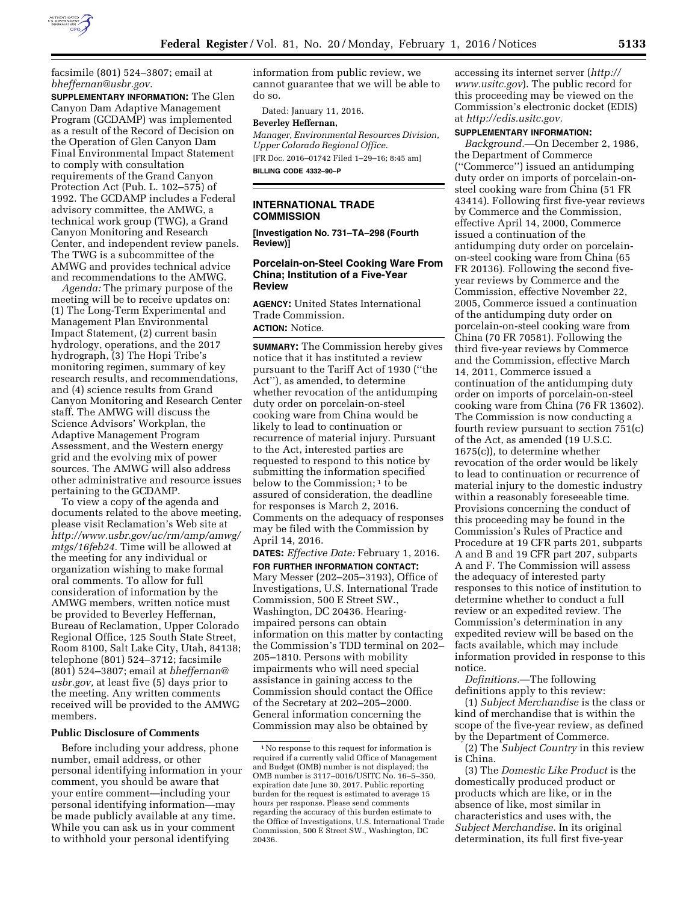

facsimile (801) 524–3807; email at *[bheffernan@usbr.gov.](mailto:bheffernan@usbr.gov)* 

**SUPPLEMENTARY INFORMATION:** The Glen Canyon Dam Adaptive Management Program (GCDAMP) was implemented as a result of the Record of Decision on the Operation of Glen Canyon Dam Final Environmental Impact Statement to comply with consultation requirements of the Grand Canyon Protection Act (Pub. L. 102–575) of 1992. The GCDAMP includes a Federal advisory committee, the AMWG, a technical work group (TWG), a Grand Canyon Monitoring and Research Center, and independent review panels. The TWG is a subcommittee of the AMWG and provides technical advice and recommendations to the AMWG.

*Agenda:* The primary purpose of the meeting will be to receive updates on: (1) The Long-Term Experimental and Management Plan Environmental Impact Statement, (2) current basin hydrology, operations, and the 2017 hydrograph, (3) The Hopi Tribe's monitoring regimen, summary of key research results, and recommendations, and (4) science results from Grand Canyon Monitoring and Research Center staff. The AMWG will discuss the Science Advisors' Workplan, the Adaptive Management Program Assessment, and the Western energy grid and the evolving mix of power sources. The AMWG will also address other administrative and resource issues pertaining to the GCDAMP.

To view a copy of the agenda and documents related to the above meeting, please visit Reclamation's Web site at *[http://www.usbr.gov/uc/rm/amp/amwg/](http://www.usbr.gov/uc/rm/amp/amwg/mtgs/16feb24) [mtgs/16feb24.](http://www.usbr.gov/uc/rm/amp/amwg/mtgs/16feb24)* Time will be allowed at the meeting for any individual or organization wishing to make formal oral comments. To allow for full consideration of information by the AMWG members, written notice must be provided to Beverley Heffernan, Bureau of Reclamation, Upper Colorado Regional Office, 125 South State Street, Room 8100, Salt Lake City, Utah, 84138; telephone (801) 524–3712; facsimile (801) 524–3807; email at *[bheffernan@](mailto:bheffernan@usbr.gov) [usbr.gov,](mailto:bheffernan@usbr.gov)* at least five (5) days prior to the meeting. Any written comments received will be provided to the AMWG members.

#### **Public Disclosure of Comments**

Before including your address, phone number, email address, or other personal identifying information in your comment, you should be aware that your entire comment—including your personal identifying information—may be made publicly available at any time. While you can ask us in your comment to withhold your personal identifying

information from public review, we cannot guarantee that we will be able to do so.

Dated: January 11, 2016.

# **Beverley Heffernan,**

*Manager, Environmental Resources Division, Upper Colorado Regional Office.*  [FR Doc. 2016–01742 Filed 1–29–16; 8:45 am] **BILLING CODE 4332–90–P** 

## **INTERNATIONAL TRADE COMMISSION**

**[Investigation No. 731–TA–298 (Fourth Review)]** 

### **Porcelain-on-Steel Cooking Ware From China; Institution of a Five-Year Review**

**AGENCY:** United States International Trade Commission.

## **ACTION:** Notice.

**SUMMARY:** The Commission hereby gives notice that it has instituted a review pursuant to the Tariff Act of 1930 (''the Act''), as amended, to determine whether revocation of the antidumping duty order on porcelain-on-steel cooking ware from China would be likely to lead to continuation or recurrence of material injury. Pursuant to the Act, interested parties are requested to respond to this notice by submitting the information specified below to the Commission;<sup>1</sup> to be assured of consideration, the deadline for responses is March 2, 2016. Comments on the adequacy of responses may be filed with the Commission by April 14, 2016.

**DATES:** *Effective Date:* February 1, 2016. **FOR FURTHER INFORMATION CONTACT:**  Mary Messer (202–205–3193), Office of Investigations, U.S. International Trade Commission, 500 E Street SW., Washington, DC 20436. Hearingimpaired persons can obtain information on this matter by contacting the Commission's TDD terminal on 202– 205–1810. Persons with mobility impairments who will need special assistance in gaining access to the Commission should contact the Office of the Secretary at 202–205–2000. General information concerning the Commission may also be obtained by

accessing its internet server (*[http://](http://www.usitc.gov)  [www.usitc.gov](http://www.usitc.gov)*). The public record for this proceeding may be viewed on the Commission's electronic docket (EDIS) at *[http://edis.usitc.gov.](http://edis.usitc.gov)* 

#### **SUPPLEMENTARY INFORMATION:**

*Background.*—On December 2, 1986, the Department of Commerce (''Commerce'') issued an antidumping duty order on imports of porcelain-onsteel cooking ware from China (51 FR 43414). Following first five-year reviews by Commerce and the Commission, effective April 14, 2000, Commerce issued a continuation of the antidumping duty order on porcelainon-steel cooking ware from China (65 FR 20136). Following the second fiveyear reviews by Commerce and the Commission, effective November 22, 2005, Commerce issued a continuation of the antidumping duty order on porcelain-on-steel cooking ware from China (70 FR 70581). Following the third five-year reviews by Commerce and the Commission, effective March 14, 2011, Commerce issued a continuation of the antidumping duty order on imports of porcelain-on-steel cooking ware from China (76 FR 13602). The Commission is now conducting a fourth review pursuant to section 751(c) of the Act, as amended (19 U.S.C. 1675(c)), to determine whether revocation of the order would be likely to lead to continuation or recurrence of material injury to the domestic industry within a reasonably foreseeable time. Provisions concerning the conduct of this proceeding may be found in the Commission's Rules of Practice and Procedure at 19 CFR parts 201, subparts A and B and 19 CFR part 207, subparts A and F. The Commission will assess the adequacy of interested party responses to this notice of institution to determine whether to conduct a full review or an expedited review. The Commission's determination in any expedited review will be based on the facts available, which may include information provided in response to this notice.

*Definitions.*—The following definitions apply to this review:

(1) *Subject Merchandise* is the class or kind of merchandise that is within the scope of the five-year review, as defined by the Department of Commerce.

(2) The *Subject Country* in this review is China.

(3) The *Domestic Like Product* is the domestically produced product or products which are like, or in the absence of like, most similar in characteristics and uses with, the *Subject Merchandise.* In its original determination, its full first five-year

<sup>1</sup>No response to this request for information is required if a currently valid Office of Management and Budget (OMB) number is not displayed; the OMB number is 3117–0016/USITC No. 16–5–350, expiration date June 30, 2017. Public reporting burden for the request is estimated to average 15 hours per response. Please send comments regarding the accuracy of this burden estimate to the Office of Investigations, U.S. International Trade Commission, 500 E Street SW., Washington, DC 20436.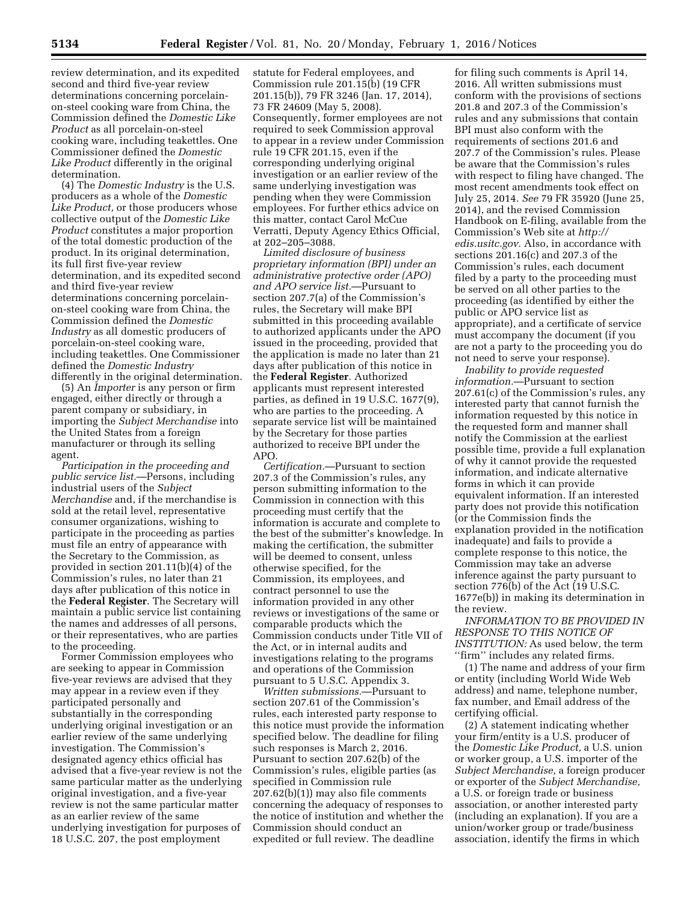review determination, and its expedited second and third five-year review determinations concerning porcelainon-steel cooking ware from China, the Commission defined the *Domestic Like Product* as all porcelain-on-steel cooking ware, including teakettles. One Commissioner defined the *Domestic Like Product* differently in the original determination.

(4) The *Domestic Industry* is the U.S. producers as a whole of the *Domestic Like Product,* or those producers whose collective output of the *Domestic Like Product* constitutes a major proportion of the total domestic production of the product. In its original determination, its full first five-year review determination, and its expedited second and third five-year review determinations concerning porcelainon-steel cooking ware from China, the Commission defined the *Domestic Industry* as all domestic producers of porcelain-on-steel cooking ware, including teakettles. One Commissioner defined the *Domestic Industry*  differently in the original determination.

(5) An *Importer* is any person or firm engaged, either directly or through a parent company or subsidiary, in importing the *Subject Merchandise* into the United States from a foreign manufacturer or through its selling agent.

*Participation in the proceeding and public service list.*—Persons, including industrial users of the *Subject Merchandise* and, if the merchandise is sold at the retail level, representative consumer organizations, wishing to participate in the proceeding as parties must file an entry of appearance with the Secretary to the Commission, as provided in section 201.11(b)(4) of the Commission's rules, no later than 21 days after publication of this notice in the **Federal Register**. The Secretary will maintain a public service list containing the names and addresses of all persons, or their representatives, who are parties to the proceeding.

Former Commission employees who are seeking to appear in Commission five-year reviews are advised that they may appear in a review even if they participated personally and substantially in the corresponding underlying original investigation or an earlier review of the same underlying investigation. The Commission's designated agency ethics official has advised that a five-year review is not the same particular matter as the underlying original investigation, and a five-year review is not the same particular matter as an earlier review of the same underlying investigation for purposes of 18 U.S.C. 207, the post employment

statute for Federal employees, and Commission rule 201.15(b) (19 CFR 201.15(b)), 79 FR 3246 (Jan. 17, 2014), 73 FR 24609 (May 5, 2008). Consequently, former employees are not required to seek Commission approval to appear in a review under Commission rule 19 CFR 201.15, even if the corresponding underlying original investigation or an earlier review of the same underlying investigation was pending when they were Commission employees. For further ethics advice on this matter, contact Carol McCue Verratti, Deputy Agency Ethics Official, at 202–205–3088.

*Limited disclosure of business proprietary information (BPI) under an administrative protective order (APO) and APO service list.*—Pursuant to section 207.7(a) of the Commission's rules, the Secretary will make BPI submitted in this proceeding available to authorized applicants under the APO issued in the proceeding, provided that the application is made no later than 21 days after publication of this notice in the **Federal Register**. Authorized applicants must represent interested parties, as defined in 19 U.S.C. 1677(9), who are parties to the proceeding. A separate service list will be maintained by the Secretary for those parties authorized to receive BPI under the APO.

*Certification.*—Pursuant to section 207.3 of the Commission's rules, any person submitting information to the Commission in connection with this proceeding must certify that the information is accurate and complete to the best of the submitter's knowledge. In making the certification, the submitter will be deemed to consent, unless otherwise specified, for the Commission, its employees, and contract personnel to use the information provided in any other reviews or investigations of the same or comparable products which the Commission conducts under Title VII of the Act, or in internal audits and investigations relating to the programs and operations of the Commission pursuant to 5 U.S.C. Appendix 3.

*Written submissions.*—Pursuant to section 207.61 of the Commission's rules, each interested party response to this notice must provide the information specified below. The deadline for filing such responses is March 2, 2016. Pursuant to section 207.62(b) of the Commission's rules, eligible parties (as specified in Commission rule 207.62(b)(1)) may also file comments concerning the adequacy of responses to the notice of institution and whether the Commission should conduct an expedited or full review. The deadline

for filing such comments is April 14, 2016. All written submissions must conform with the provisions of sections 201.8 and 207.3 of the Commission's rules and any submissions that contain BPI must also conform with the requirements of sections 201.6 and 207.7 of the Commission's rules. Please be aware that the Commission's rules with respect to filing have changed. The most recent amendments took effect on July 25, 2014. *See* 79 FR 35920 (June 25, 2014), and the revised Commission Handbook on E-filing, available from the Commission's Web site at *[http://](http://edis.usitc.gov)  [edis.usitc.gov.](http://edis.usitc.gov)* Also, in accordance with sections 201.16(c) and 207.3 of the Commission's rules, each document filed by a party to the proceeding must be served on all other parties to the proceeding (as identified by either the public or APO service list as appropriate), and a certificate of service must accompany the document (if you are not a party to the proceeding you do not need to serve your response).

*Inability to provide requested information.*—Pursuant to section 207.61(c) of the Commission's rules, any interested party that cannot furnish the information requested by this notice in the requested form and manner shall notify the Commission at the earliest possible time, provide a full explanation of why it cannot provide the requested information, and indicate alternative forms in which it can provide equivalent information. If an interested party does not provide this notification (or the Commission finds the explanation provided in the notification inadequate) and fails to provide a complete response to this notice, the Commission may take an adverse inference against the party pursuant to section 776(b) of the Act (19 U.S.C. 1677e(b)) in making its determination in the review.

*INFORMATION TO BE PROVIDED IN RESPONSE TO THIS NOTICE OF INSTITUTION:* As used below, the term ''firm'' includes any related firms.

(1) The name and address of your firm or entity (including World Wide Web address) and name, telephone number, fax number, and Email address of the certifying official.

(2) A statement indicating whether your firm/entity is a U.S. producer of the *Domestic Like Product,* a U.S. union or worker group, a U.S. importer of the *Subject Merchandise,* a foreign producer or exporter of the *Subject Merchandise,*  a U.S. or foreign trade or business association, or another interested party (including an explanation). If you are a union/worker group or trade/business association, identify the firms in which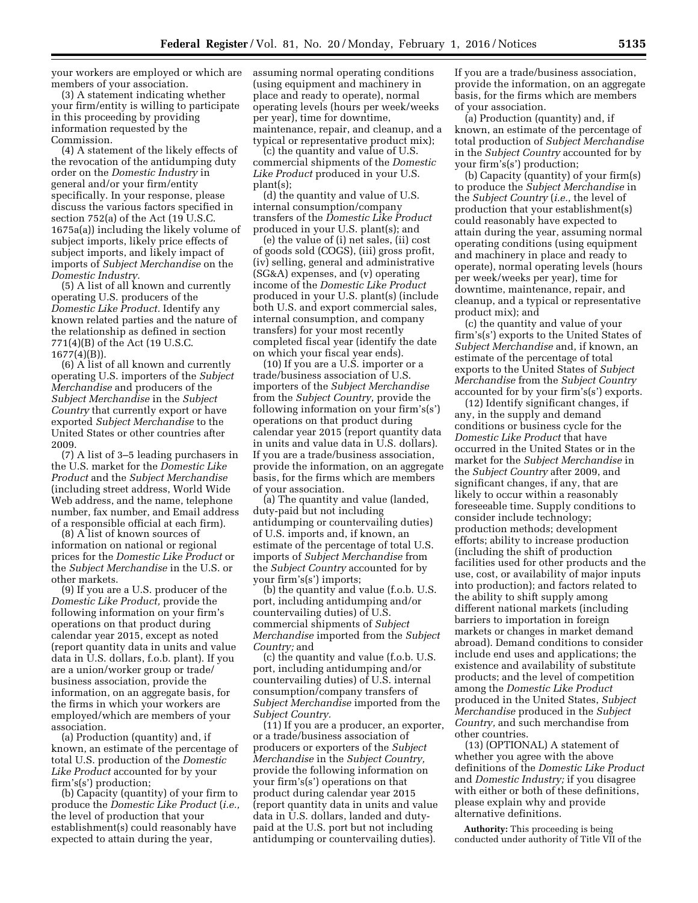your workers are employed or which are members of your association.

(3) A statement indicating whether your firm/entity is willing to participate in this proceeding by providing information requested by the Commission.

(4) A statement of the likely effects of the revocation of the antidumping duty order on the *Domestic Industry* in general and/or your firm/entity specifically. In your response, please discuss the various factors specified in section 752(a) of the Act (19 U.S.C. 1675a(a)) including the likely volume of subject imports, likely price effects of subject imports, and likely impact of imports of *Subject Merchandise* on the *Domestic Industry.* 

(5) A list of all known and currently operating U.S. producers of the *Domestic Like Product.* Identify any known related parties and the nature of the relationship as defined in section 771(4)(B) of the Act (19 U.S.C. 1677(4)(B)).

(6) A list of all known and currently operating U.S. importers of the *Subject Merchandise* and producers of the *Subject Merchandise* in the *Subject Country* that currently export or have exported *Subject Merchandise* to the United States or other countries after 2009.

(7) A list of 3–5 leading purchasers in the U.S. market for the *Domestic Like Product* and the *Subject Merchandise*  (including street address, World Wide Web address, and the name, telephone number, fax number, and Email address of a responsible official at each firm).

(8) A list of known sources of information on national or regional prices for the *Domestic Like Product* or the *Subject Merchandise* in the U.S. or other markets.

(9) If you are a U.S. producer of the *Domestic Like Product,* provide the following information on your firm's operations on that product during calendar year 2015, except as noted (report quantity data in units and value data in U.S. dollars, f.o.b. plant). If you are a union/worker group or trade/ business association, provide the information, on an aggregate basis, for the firms in which your workers are employed/which are members of your association.

(a) Production (quantity) and, if known, an estimate of the percentage of total U.S. production of the *Domestic Like Product* accounted for by your firm's(s') production;

(b) Capacity (quantity) of your firm to produce the *Domestic Like Product* (*i.e.,*  the level of production that your establishment(s) could reasonably have expected to attain during the year,

assuming normal operating conditions (using equipment and machinery in place and ready to operate), normal operating levels (hours per week/weeks per year), time for downtime, maintenance, repair, and cleanup, and a typical or representative product mix);

(c) the quantity and value of U.S. commercial shipments of the *Domestic Like Product* produced in your U.S. plant(s);

(d) the quantity and value of U.S. internal consumption/company transfers of the *Domestic Like Product*  produced in your U.S. plant(s); and

(e) the value of (i) net sales, (ii) cost of goods sold (COGS), (iii) gross profit, (iv) selling, general and administrative (SG&A) expenses, and (v) operating income of the *Domestic Like Product*  produced in your U.S. plant(s) (include both U.S. and export commercial sales, internal consumption, and company transfers) for your most recently completed fiscal year (identify the date on which your fiscal year ends).

(10) If you are a U.S. importer or a trade/business association of U.S. importers of the *Subject Merchandise*  from the *Subject Country,* provide the following information on your firm's(s') operations on that product during calendar year 2015 (report quantity data in units and value data in U.S. dollars). If you are a trade/business association, provide the information, on an aggregate basis, for the firms which are members of your association.

(a) The quantity and value (landed, duty-paid but not including antidumping or countervailing duties) of U.S. imports and, if known, an estimate of the percentage of total U.S. imports of *Subject Merchandise* from the *Subject Country* accounted for by your firm's(s') imports;

(b) the quantity and value (f.o.b. U.S. port, including antidumping and/or countervailing duties) of U.S. commercial shipments of *Subject Merchandise* imported from the *Subject Country;* and

(c) the quantity and value (f.o.b. U.S. port, including antidumping and/or countervailing duties) of U.S. internal consumption/company transfers of *Subject Merchandise* imported from the *Subject Country.* 

(11) If you are a producer, an exporter, or a trade/business association of producers or exporters of the *Subject Merchandise* in the *Subject Country,*  provide the following information on your firm's(s') operations on that product during calendar year 2015 (report quantity data in units and value data in U.S. dollars, landed and dutypaid at the U.S. port but not including antidumping or countervailing duties).

If you are a trade/business association, provide the information, on an aggregate basis, for the firms which are members of your association.

(a) Production (quantity) and, if known, an estimate of the percentage of total production of *Subject Merchandise*  in the *Subject Country* accounted for by your firm's(s') production;

(b) Capacity (quantity) of your firm(s) to produce the *Subject Merchandise* in the *Subject Country* (*i.e.,* the level of production that your establishment(s) could reasonably have expected to attain during the year, assuming normal operating conditions (using equipment and machinery in place and ready to operate), normal operating levels (hours per week/weeks per year), time for downtime, maintenance, repair, and cleanup, and a typical or representative product mix); and

(c) the quantity and value of your firm's(s') exports to the United States of *Subject Merchandise* and, if known, an estimate of the percentage of total exports to the United States of *Subject Merchandise* from the *Subject Country*  accounted for by your firm's(s') exports.

(12) Identify significant changes, if any, in the supply and demand conditions or business cycle for the *Domestic Like Product* that have occurred in the United States or in the market for the *Subject Merchandise* in the *Subject Country* after 2009, and significant changes, if any, that are likely to occur within a reasonably foreseeable time. Supply conditions to consider include technology; production methods; development efforts; ability to increase production (including the shift of production facilities used for other products and the use, cost, or availability of major inputs into production); and factors related to the ability to shift supply among different national markets (including barriers to importation in foreign markets or changes in market demand abroad). Demand conditions to consider include end uses and applications; the existence and availability of substitute products; and the level of competition among the *Domestic Like Product*  produced in the United States, *Subject Merchandise* produced in the *Subject Country,* and such merchandise from other countries.

(13) (OPTIONAL) A statement of whether you agree with the above definitions of the *Domestic Like Product*  and *Domestic Industry;* if you disagree with either or both of these definitions, please explain why and provide alternative definitions.

**Authority:** This proceeding is being conducted under authority of Title VII of the